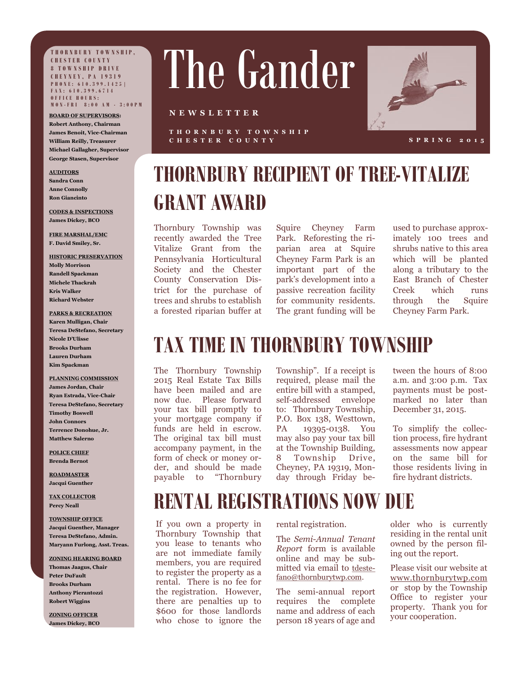**T H O R N B U R Y T O W N S H I P , C H E S T E R C O U N T Y 8 TOWNSHIP DRIVE C H E Y N E Y , P A 1 9 3 1 9 P H O N E : 6 1 0 . 3 9 9 . 1 4 2 5 | F A X : 6 1 0 . 3 9 9 . 6 7 1 4 O F F I C E H O U R S : M O N - F R I 8 : 0 0 A M - 3 : 0 0 P M**

**BOARD OF SUPERVISORS: Robert Anthony, Chairman James Benoit, Vice-Chairman William Reilly, Treasurer Michael Gallagher, Supervisor George Stasen, Supervisor**

**AUDITORS Sandra Conn Anne Connolly Ron Giancinto**

**CODES & INSPECTIONS James Dickey, BCO**

**FIRE MARSHAL/EMC F. David Smiley, Sr.**

**HISTORIC PRESERVATION Molly Morrison Randell Spackman Michele Thackrah Kris Walker Richard Webster** 

**PARKS & RECREATION**

**Karen Mulligan, Chair Teresa DeStefano, Secretary Nicole D'Ulisse Brooks Durham Lauren Durham Kim Spackman**

**PLANNING COMMISSION James Jordan, Chair Ryan Estrada, Vice-Chair Teresa DeStefano, Secretary**

**Timothy Boswell John Connors Terrence Donohue, Jr. Matthew Salerno**

**POLICE CHIEF Brenda Bernot**

**ROADMASTER Jacqui Guenther**

**TAX COLLECTOR Percy Neall**

### **TOWNSHIP OFFICE Jacqui Guenther, Manager Teresa DeStefano, Admin. Maryann Furlong, Asst. Treas.**

**ZONING HEARING BOARD Thomas Jaagus, Chair Peter DuFault Brooks Durham Anthony Pierantozzi Robert Wiggins**

**ZONING OFFICER James Dickey, BCO**

# The Gander

### **N E W S L E T T E R**

**T H O R N B U R Y T O W N S H I P C H E S T E R C O U N T Y**



**S P R I N G 2 0 1 5**

# **THORNBURY RECIPIENT OF TREE-VITALIZE GRANT AWARD**

Thornbury Township was recently awarded the Tree Vitalize Grant from the Pennsylvania Horticultural Society and the Chester County Conservation District for the purchase of trees and shrubs to establish a forested riparian buffer at Squire Cheyney Farm Park. Reforesting the riparian area at Squire Cheyney Farm Park is an important part of the park's development into a passive recreation facility for community residents. The grant funding will be

used to purchase approximately 100 trees and shrubs native to this area which will be planted along a tributary to the East Branch of Chester Creek which runs through the Squire Cheyney Farm Park.

# **TAX TIME IN THORNBURY TOWNSHIP**

The Thornbury Township 2015 Real Estate Tax Bills have been mailed and are now due. Please forward your tax bill promptly to your mortgage company if funds are held in escrow. The original tax bill must accompany payment, in the form of check or money order, and should be made payable to "Thornbury Township". If a receipt is required, please mail the entire bill with a stamped, self-addressed envelope to: Thornbury Township, P.O. Box 138, Westtown, PA 19395-0138. You may also pay your tax bill at the Township Building, 8 Township Drive, Cheyney, PA 19319, Monday through Friday between the hours of 8:00 a.m. and 3:00 p.m. Tax payments must be postmarked no later than December 31, 2015.

To simplify the collection process, fire hydrant assessments now appear on the same bill for those residents living in fire hydrant districts.

# **RENTAL REGISTRATIONS NOW DUE**

If you own a property in Thornbury Township that you lease to tenants who are not immediate family members, you are required to register the property as a rental. There is no fee for the registration. However, there are penalties up to \$600 for those landlords who chose to ignore the

rental registration.

The *Semi-Annual Tenant Report* form is available online and may be submitted via email to tdestefano@thornburytwp.com.

The semi-annual report requires the complete name and address of each person 18 years of age and

older who is currently residing in the rental unit owned by the person filing out the report.

Please visit our website at www.thornburytwp.com or stop by the Township Office to register your property. Thank you for your cooperation.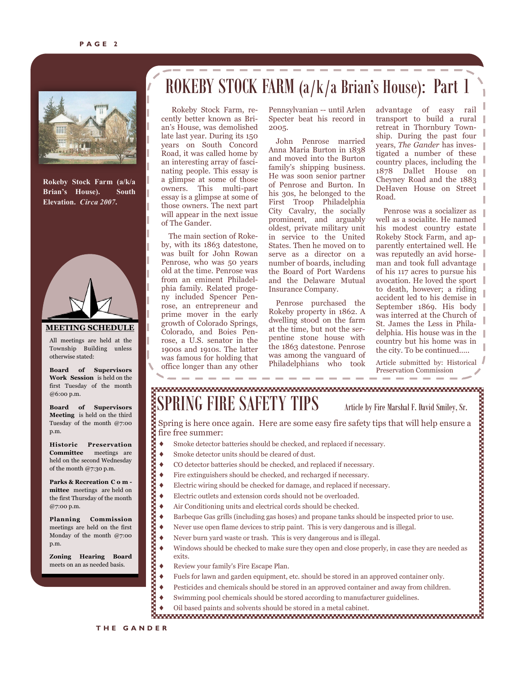### **P A G E 2**



**Rokeby Stock Farm (a/k/a Brian's House). South Elevation.** *Circa 2007***.**



### **MEETING SCHEDULE**

All meetings are held at the Township Building unless otherwise stated:

**Board of Supervisors Work Session** is held on the first Tuesday of the month @6:00 p.m.

**Board of Supervisors Meeting** is held on the third Tuesday of the month @7:00 p.m.

**Historic Preservation Committee** meetings are held on the second Wednesday of the month @7:30 p.m.

**Parks & Recreation C o m mittee** meetings are held on the first Thursday of the month @7:00 p.m.

**Planning Commission**  meetings are held on the first Monday of the month @7:00 p.m.

**Zoning Hearing Board** meets on an as needed basis.

# ROKEBY STOCK FARM (a/k/a Brian's House): Part 1

 Rokeby Stock Farm, recently better known as Brian's House, was demolished late last year. During its 150 years on South Concord Road, it was called home by an interesting array of fascinating people. This essay is a glimpse at some of those owners. This multi-part essay is a glimpse at some of those owners. The next part will appear in the next issue of The Gander.

 The main section of Rokeby, with its 1863 datestone, was built for John Rowan Penrose, who was 50 years old at the time. Penrose was from an eminent Philadelphia family. Related progeny included Spencer Penrose, an entrepreneur and prime mover in the early growth of Colorado Springs, Colorado, and Boies Penrose, a U.S. senator in the 1900s and 1910s. The latter was famous for holding that office longer than any other

Pennsylvanian -- until Arlen Specter beat his record in 2005.

 John Penrose married Anna Maria Burton in 1838 and moved into the Burton family's shipping business. He was soon senior partner of Penrose and Burton. In his 30s, he belonged to the First Troop Philadelphia City Cavalry, the socially prominent, and arguably oldest, private military unit in service to the United States. Then he moved on to serve as a director on a number of boards, including the Board of Port Wardens and the Delaware Mutual Insurance Company.

 Penrose purchased the Rokeby property in 1862. A dwelling stood on the farm at the time, but not the serpentine stone house with the 1863 datestone. Penrose was among the vanguard of Philadelphians who took

advantage of easy rail transport to build a rural retreat in Thornbury Township. During the past four years, *The Gander* has investigated a number of these country places, including the 1878 Dallet House on Cheyney Road and the 1883 DeHaven House on Street Road.

 Penrose was a socializer as well as a socialite. He named his modest country estate Rokeby Stock Farm, and apparently entertained well. He was reputedly an avid horseman and took full advantage of his 117 acres to pursue his avocation. He loved the sport to death, however; a riding accident led to his demise in September 1869. His body was interred at the Church of St. James the Less in Philadelphia. His house was in the country but his home was in the city. To be continued…..

Article submitted by: Historical Preservation Commission

# **SPRING SAFETY TIPS** Article by Fire Marshal F. David Smiley, Sr.

Spring is here once again. Here are some easy fire safety tips that will help ensure a fire free summer:

- Smoke detector batteries should be checked, and replaced if necessary.
- Smoke detector units should be cleared of dust.
- CO detector batteries should be checked, and replaced if necessary.
- Fire extinguishers should be checked, and recharged if necessary.
- Electric wiring should be checked for damage, and replaced if necessary.
- Electric outlets and extension cords should not be overloaded.
- Air Conditioning units and electrical cords should be checked.
- Barbeque Gas grills (including gas hoses) and propane tanks should be inspected prior to use.
- Never use open flame devices to strip paint. This is very dangerous and is illegal.
- Never burn yard waste or trash. This is very dangerous and is illegal.
- Windows should be checked to make sure they open and close properly, in case they are needed as exits.
- Review your family's Fire Escape Plan.
- Fuels for lawn and garden equipment, etc. should be stored in an approved container only.
- Pesticides and chemicals should be stored in an approved container and away from children.
- Swimming pool chemicals should be stored according to manufacturer guidelines.
- Oil based paints and solvents should be stored in a metal cabinet.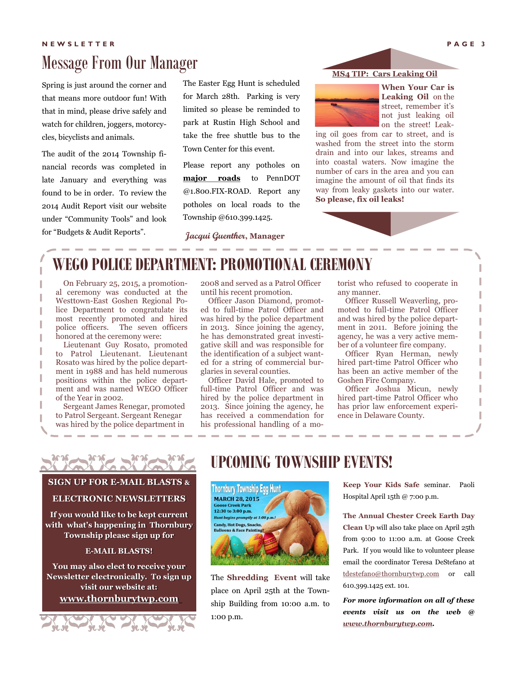### Message From Our Manager **N E W S L E T T E R P A G E 3**

Spring is just around the corner and that means more outdoor fun! With that in mind, please drive safely and watch for children, joggers, motorcycles, bicyclists and animals.

The audit of the 2014 Township financial records was completed in late January and everything was found to be in order. To review the 2014 Audit Report visit our website under "Community Tools" and look for "Budgets & Audit Reports".

The Easter Egg Hunt is scheduled for March 28th. Parking is very limited so please be reminded to park at Rustin High School and take the free shuttle bus to the Town Center for this event.

Please report any potholes on **major roads** to PennDOT @1.800.FIX-ROAD. Report any potholes on local roads to the Township @610.399.1425.

**Jacqui Guenther, Manager**

### **MS4 TIP: Cars Leaking Oil**



**When Your Car is Leaking Oil** on the street, remember it's not just leaking oil on the street! Leak-

ing oil goes from car to street, and is washed from the street into the storm drain and into our lakes, streams and into coastal waters. Now imagine the number of cars in the area and you can imagine the amount of oil that finds its way from leaky gaskets into our water. **So please, fix oil leaks!**



# **WEGO POLICE DEPARTMENT: PROMOTIONAL CEREMONY**

On February 25, 2015, a promotional ceremony was conducted at the Westtown-East Goshen Regional Police Department to congratulate its most recently promoted and hired police officers. The seven officers honored at the ceremony were:

Lieutenant Guy Rosato, promoted to Patrol Lieutenant. Lieutenant Rosato was hired by the police department in 1988 and has held numerous positions within the police department and was named WEGO Officer of the Year in 2002.

Sergeant James Renegar, promoted to Patrol Sergeant. Sergeant Renegar was hired by the police department in

2008 and served as a Patrol Officer until his recent promotion.

Officer Jason Diamond, promoted to full-time Patrol Officer and was hired by the police department in 2013. Since joining the agency, he has demonstrated great investigative skill and was responsible for the identification of a subject wanted for a string of commercial burglaries in several counties.

Officer David Hale, promoted to full-time Patrol Officer and was hired by the police department in 2013. Since joining the agency, he has received a commendation for his professional handling of a motorist who refused to cooperate in any manner.

Officer Russell Weaverling, promoted to full-time Patrol Officer and was hired by the police department in 2011. Before joining the agency, he was a very active member of a volunteer fire company.

Officer Ryan Herman, newly hired part-time Patrol Officer who has been an active member of the Goshen Fire Company.

Officer Joshua Micun, newly hired part-time Patrol Officer who has prior law enforcement experience in Delaware County.



**SIGN UP FOR E-MAIL BLASTS & ELECTRONIC NEWSLETTERS**

**If you would like to be kept current with what's happening in Thornbury Township please sign up for** 

### **E-MAIL BLASTS!**

**You may also elect to receive your Newsletter electronically. To sign up visit our website at: www.thornburytwp.com**



## **UPCOMING TOWNSHIP EVENTS!**



The **Shredding Event** will take place on April 25th at the Township Building from 10:00 a.m. to 1:00 p.m.

**Keep Your Kids Safe** seminar. Paoli Hospital April 15th @ 7:00 p.m.

**The Annual Chester Creek Earth Day Clean Up** will also take place on April 25th from 9:00 to 11:00 a.m. at Goose Creek Park. If you would like to volunteer please email the coordinator Teresa DeStefano at tdestefano@thornburytwp.com or call 610.399.1425 ext. 101.

*For more information on all of these events visit us on the web @ www.thornburytwp.com.*

I I I I I I I